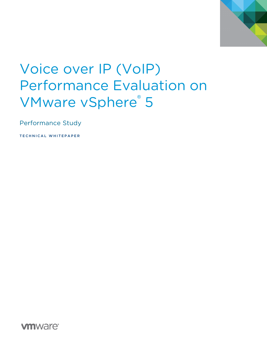

# Voice over IP (VoIP) Performance Evaluation on VMware vSphere® 5

Performance Study

TECHNICAL WHITEPAPER

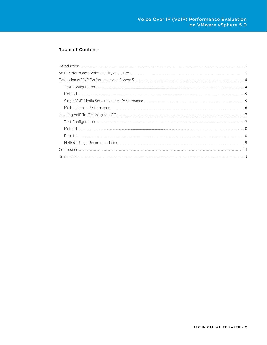### **Table of Contents**

| $\label{prop:1} \noindent \textbf{Introduction} \tiny \textit{num} \tiny \textit{num} \tiny \textit{num} \tiny \textit{num} \tiny \textit{num} \tiny \textit{num} \tiny \textit{num} \tiny \textit{num} \tiny \textit{num} \tiny \textit{num} \tiny \textit{num} \tiny \textit{num} \tiny \textit{num} \tiny \textit{num} \tiny \textit{num} \tiny \textit{num} \tiny \textit{num} \tiny \textit{num} \tiny \textit{num} \tiny \textit{num} \tiny \textit{num} \tiny \textit{num} \tiny \textit{num} \tiny \textit{num} \tiny \textit{num} \tiny \text$ |  |
|---------------------------------------------------------------------------------------------------------------------------------------------------------------------------------------------------------------------------------------------------------------------------------------------------------------------------------------------------------------------------------------------------------------------------------------------------------------------------------------------------------------------------------------------------------|--|
|                                                                                                                                                                                                                                                                                                                                                                                                                                                                                                                                                         |  |
|                                                                                                                                                                                                                                                                                                                                                                                                                                                                                                                                                         |  |
|                                                                                                                                                                                                                                                                                                                                                                                                                                                                                                                                                         |  |
|                                                                                                                                                                                                                                                                                                                                                                                                                                                                                                                                                         |  |
|                                                                                                                                                                                                                                                                                                                                                                                                                                                                                                                                                         |  |
|                                                                                                                                                                                                                                                                                                                                                                                                                                                                                                                                                         |  |
|                                                                                                                                                                                                                                                                                                                                                                                                                                                                                                                                                         |  |
|                                                                                                                                                                                                                                                                                                                                                                                                                                                                                                                                                         |  |
|                                                                                                                                                                                                                                                                                                                                                                                                                                                                                                                                                         |  |
|                                                                                                                                                                                                                                                                                                                                                                                                                                                                                                                                                         |  |
|                                                                                                                                                                                                                                                                                                                                                                                                                                                                                                                                                         |  |
|                                                                                                                                                                                                                                                                                                                                                                                                                                                                                                                                                         |  |
|                                                                                                                                                                                                                                                                                                                                                                                                                                                                                                                                                         |  |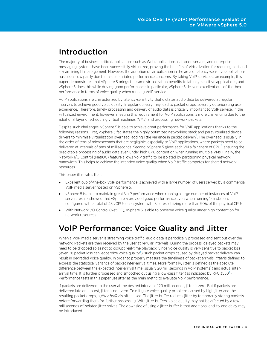### <span id="page-2-0"></span>Introduction

The majority of business-critical applications such as Web applications, database servers, and enterprise messaging systems have been successfully virtualized, proving the benefits of virtualization for reducing cost and streamlining IT management. However, the adoption of virtualization in the area of latency-sensitive applications has been slow partly due to unsubstantiated performance concerns. By taking VoIP service as an example, this paper demonstrates that vSphere 5 brings the same virtualization benefits to latency-sensitive applications, and vSphere 5 does this while driving good performance. In particular, vSphere 5 delivers excellent out-of-the-box performance in terms of voice quality when running VoIP service.

VoIP applications are characterized by latency-sensitivity that dictates audio data be delivered at regular intervals to achieve good voice quality. Irregular delivery may lead to packet drops, severely deteriorating user experience. Therefore, timely processing and delivery of audio data is critically important to VoIP service. In the virtualized environment, however, meeting this requirement for VoIP applications is more challenging due to the additional layer of scheduling virtual machines (VMs) and processing network packets.

Despite such challenges, vSphere 5 is able to achieve great performance for VoIP applications thanks to the following reasons. First, vSphere 5 facilitates the highly optimized networking stack and paravirtualized device drivers to minimize virtualization overhead, adding little variance in packet delivery<sup>1</sup>. The overhead is usually in the order of tens of microseconds that are negligible, especially to VoIP applications, where packets need to be delivered at intervals of tens of milliseconds. Second, vSphere 5 gives each VM a fair share of CPU $^2$ , ensuring the predictable processing of audio data even under high CPU contention when running multiple VMs. Finally, the Network I/O Control (NetIOC) feature allows VoIP traffic to be isolated by partitioning physical network bandwidth. This helps to achieve the intended voice quality when VoIP traffic competes for shared network resources.

This paper illustrates that:

- Excellent out-of-the-box VoIP performance is achieved with a large number of users served by a commercial VoIP media server hosted on vSphere 5.
- vSphere 5 is able to maintain great VoIP performance when running a large number of instances of VoIP server; results showed that vSphere 5 provided good performance even when running 12 instances configured with a total of 48 vCPUs on a system with 8 cores, utilizing more than 90% of the physical CPUs.
- With Network I/O Control (NetIOC), vSphere 5 is able to preserve voice quality under high contention for network resources.

# <span id="page-2-1"></span>VoIP Performance: Voice Quality and Jitter

When a VoIP media server is streaming voice traffic, audio data is periodically processed and sent out over the network. Packets are then received by the user at regular intervals. During the process, delayed packets may need to be dropped so as not to disrupt real-time playback. Since voice quality is very sensitive to packet loss (even 1% packet loss can jeopardize voice quality<sup>3</sup>), such packet drops caused by delayed packet delivery can result in degraded voice quality. In order to properly measure the timeliness of packet arrivals, jitter is defined to express the statistical variance of packet inter-arrival times. More formally, jitter is defined as the absolute difference between the expected inter-arrival time (usually 20 milliseconds in VoIP systems $^4$ ) and actual inter-arrival time. It is further processed and smoothed out using a low-pass filter (as indicated by [RFC 3550](http://tools.ietf.org/html/rfc3550) $^5$  $^5$ ). Performance tests in this paper use jitter as the main metric to evaluate VoIP performance.

If packets are delivered to the user at the desired interval of 20 milliseconds, jitter is zero. But if packets are delivered late or in burst, jitter is non-zero. To mitigate voice quality problems caused by high jitter and the resulting packet drops, a *jitter buffer* is often used. The jitter buffer reduces jitter by temporarily storing packets before forwarding them for further processing. With jitter buffers, voice quality may not be affected by a few milliseconds of isolated jitter spikes. The downside of using a jitter buffer is that additional end-to-end delay may be introduced.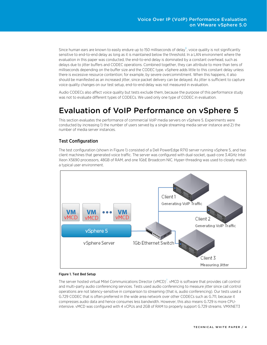Since human ears are known to easily endure up to 150 milliseconds of delay $^6$ , voice quality is not significantly sensitive to end-to-end delay as long as it is maintained below the threshold. In a LAN environment where the evaluation in this paper was conducted, the end-to-end delay is dominated by a constant overhead, such as delays due to jitter buffers and CODEC operations. Combined together, they can attribute to more than tens of milliseconds depending on the buffer size and the CODEC type. vSphere adds little to this constant delay unless there is excessive resource contention; for example, by severe overcommitment. When this happens, it also should be manifested as an increased jitter, since packet delivery can be delayed. As jitter is sufficient to capture voice quality changes on our test setup, end-to-end delay was not measured in evaluation.

Audio CODECs also affect voice quality but tests exclude them, because the purpose of this performance study was not to evaluate different types of CODECs. We used only one type of CODEC in evaluation.

# <span id="page-3-0"></span>Evaluation of VoIP Performance on vSphere 5

This section evaluates the performance of commercial VoIP media servers on vSphere 5. Experiments were conducted by increasing 1) the number of users served by a single streaming media server instance and 2) the number of media server instances.

### <span id="page-3-1"></span>Test Configuration

The test configuration (shown in Figure 1) consisted of a Dell PowerEdge R710 server running vSphere 5, and two client machines that generated voice traffic. The server was configured with dual-socket, quad-core 3.4GHz Intel Xeon X5690 processors, 48GB of RAM, and one 1GbE Broadcom NIC. Hyper-threading was used to closely match a typical user environment.



#### Figure 1. Test Bed Setup

The server hosted virtual Mitel Communications Director (vMCD)<sup>7</sup>. vMCD is software that provides call control and multi-party audio conferencing services. Tests used audio conferencing to measure jitter since call control operations are not latency-sensitive in comparison to streaming (that is, audio conferencing). Our tests used a G.729 CODEC that is often preferred in the wide area network over other CODECs such as G.711, because it compresses audio data and hence consumes less bandwidth. However, this also means G.729 is more CPUintensive. vMCD was configured with 4 vCPUs and 2GB of RAM to properly support G.729 streams. VMXNET3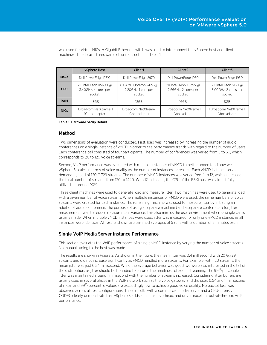|             | vSphere Host                                            | Client1                                                  | Client <sub>2</sub>                                     | Client <sub>3</sub>                                      |
|-------------|---------------------------------------------------------|----------------------------------------------------------|---------------------------------------------------------|----------------------------------------------------------|
| Make        | Dell PowerEdge R710                                     | Dell PowerEdge 2970                                      | Dell PowerEdge 1950                                     | Dell PowerEdge 1950                                      |
| <b>CPU</b>  | 2X Intel Xeon X5690 @<br>3.40GHz, 4 cores per<br>socket | $6X$ AMD Opteron 2427 @<br>2.20GHz, 1 core per<br>socket | 2X Intel Xeon X5355 @<br>2.66GHz, 2 cores per<br>socket | $2X$ Intel Xeon 5160 @<br>3.00GHz, 2 cores per<br>socket |
| <b>RAM</b>  | 48GB                                                    | 12GB                                                     | 16GB                                                    | 8GB                                                      |
| <b>NICs</b> | Broadcom NetXtreme II<br>1Gbps adapter                  | Broadcom NetXtreme II<br>1Gbps adapter                   | Broadcom NetXtreme II<br>1Gbps adapter                  | Broadcom NetXtreme II<br>1Gbps adapter                   |

was used for virtual NICs. A Gigabit Ethernet switch was used to interconnect the vSphere host and client machines. The detailed hardware setup is described in Table 1.

#### Table 1. Hardware Setup Details

#### <span id="page-4-0"></span>Method

Two dimensions of evaluation were conducted. First, load was increased by increasing the number of audio conferences on a single instance of vMCD in order to see performance trends with regard to the number of users. Each conference call consisted of four participants. The number of conferences was varied from 5 to 30, which corresponds to 20 to 120 voice streams.

Second, VoIP performance was evaluated with multiple instances of vMCD to better understand how well vSphere 5 scales in terms of voice quality as the number of instances increases. Each vMCD instance served a demanding load of 120 G.729 streams. The number of vMCD instances was varied from 1 to 12, which increased the total number of streams from 120 to 1440. With 12 instances, the CPU of the ESXi host was almost fully utilized, at around 90%.

Three client machines were used to generate load and measure jitter. Two machines were used to generate load with a given number of voice streams. When multiple instances of vMCD were used, the same numbers of voice streams were created for each instance. The remaining machine was used to measure jitter by initiating an additional audio conference. The purpose of using a separate machine (and a separate conference) for jitter measurement was to reduce measurement variance. This also mimics the user environment where a single call is usually made. When multiple vMCD instances were used, jitter was measured for only one vMCD instance, as all instances were identical. All results shown are trimmed averages of 5 runs with a duration of 5 minutes each.

### <span id="page-4-1"></span>Single VoIP Media Server Instance Performance

This section evaluates the VoIP performance of a single vMCD instance by varying the number of voice streams. No manual tuning to the host was made.

The results are shown in Figure 2. As shown in the figure, the mean jitter was 0.4 millisecond with 20 G.729 streams and did not increase significantly as vMCD handled more streams. For example, with 120 streams, the mean jitter was just 0.54 millisecond. While the average behavior was good, we were also interested in the tail of the distribution, as jitter should be bounded to enforce the timeliness of audio streaming. The 99<sup>th</sup>-percentile jitter was maintained around 1 millisecond with the number of streams increased. Considering jitter buffers are usually used in several places in the VoIP network such as the voice gateway and the user, 0.54 and 1 millisecond of mean and 99<sup>th</sup>-percentile values are exceedingly low to achieve good voice quality. No packet loss was observed across all test configurations. These results with a commercial media server and a CPU-intensive CODEC clearly demonstrate that vSphere 5 adds a minimal overhead, and drives excellent out-of-the-box VoIP performance.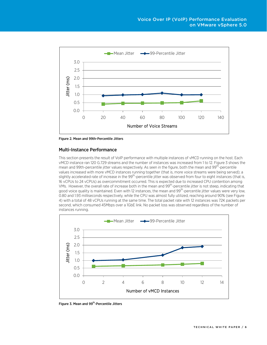

Figure 2. Mean and 99th-Percentile Jitters

### <span id="page-5-0"></span>Multi-Instance Performance

This section presents the result of VoIP performance with multiple instances of vMCD running on the host. Each vMCD instance ran 120 G.729 streams and the number of instances was increased from 1 to 12. Figure 3 shows the mean and 99th-percentile jitter values respectively. As seen in the figure, both the mean and 99<sup>th</sup>-percentile values increased with more vMCD instances running together (that is, more voice streams were being served); a slightly accelerated rate of increase in the 99<sup>th</sup>-percentile jitter was observed from four to eight instances (that is, 16 vCPUs to 24 vCPUs) as overcommitment occurred. This is expected due to increased CPU contention among VMs. However, the overall rate of increase both in the mean and 99th-percentile jitter is not steep, indicating that good voice quality is maintained. Even with 12 instances, the mean and 99<sup>th</sup>-percentile jitter values were very low, 0.80 and 1.93 milliseconds respectively, while the CPU was almost fully utilized, reaching around 90% (see Figure 4) with a total of 48 vCPUs running at the same time. The total packet rate with 12 instances was 72K packets per second, which consumed 45Mbps over a 1GbE link. No packet loss was observed regardless of the number of instances running.



Figure 3. Mean and 99<sup>th</sup>-Percentile Jitters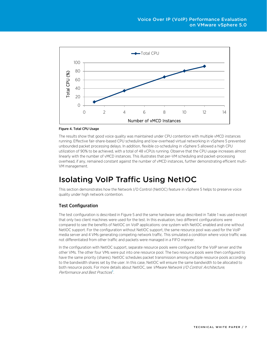

#### Figure 4. Total CPU Usage

The results show that good voice quality was maintained under CPU contention with multiple vMCD instances running. Effective fair-share-based CPU scheduling and low-overhead virtual networking in vSphere 5 prevented unbounded packet processing delays. In addition, flexible co-scheduling in vSphere 5 allowed a high CPU utilization of 90% to be achieved, with a total of 48 vCPUs running. Observe that the CPU usage increases almost linearly with the number of vMCD instances. This illustrates that per-VM scheduling and packet-processing overhead, if any, remained constant against the number of vMCD instances, further demonstrating efficient multi-VM management.

# <span id="page-6-0"></span>Isolating VoIP Traffic Using NetIOC

This section demonstrates how the Network I/O Control (NetIOC) feature in vSphere 5 helps to preserve voice quality under high network contention.

### <span id="page-6-1"></span>Test Configuration

The test configuration is described in Figure 5 and the same hardware setup described in Table 1 was used except that only two client machines were used for the test. In this evaluation, two different configurations were compared to see the benefits of NetIOC on VoIP applications: one system with NetIOC enabled and one without NetIOC support. For the configuration without NetIOC support, the same resource pool was used for the VoIP media server and 4 VMs generating competing network traffic. This simulated a condition where voice traffic was not differentiated from other traffic and packets were managed in a FIFO manner.

In the configuration with NetIOC support, separate resource pools were configured for the VoIP server and the other VMs. The other four VMs were put into one resource pool. The two resource pools were then configured to have the same priority (shares). NetIOC schedules packet transmission among multiple resource pools according to the bandwidth shares set by the user. In this case, NetIOC will ensure the same bandwidth to be allocated to both resource pools. For more details about NetIOC, see VMware Network I/O Control: Architecture, Performance and Best Practices<sup>8</sup>.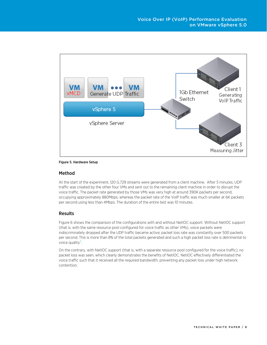

#### Figure 5. Hardware Setup

#### <span id="page-7-0"></span>Method

At the start of the experiment, 120 G.729 streams were generated from a client machine. After 5 minutes, UDP traffic was created by the other four VMs and sent out to the remaining client machine in order to disrupt the voice traffic. The packet rate generated by those VMs was very high at around 390K packets per second, occupying approximately 880Mbps, whereas the packet rate of the VoIP traffic was much smaller at 6K packets per second using less than 4Mbps. The duration of the entire test was 10 minutes.

### <span id="page-7-1"></span>Results

Figure 6 shows the comparison of the configurations with and without NetIOC support. Without NetIOC support (that is, with the same resource pool configured for voice traffic as other VMs), voice packets were indiscriminately dropped after the UDP traffic became active; packet loss rate was constantly over 500 packets per second. This is more than 8% of the total packets generated and such a high packet loss rate is detrimental to voice quality $3$ .

On the contrary, with NetIOC support (that is, with a separate resource pool configured for the voice traffic), no packet loss was seen, which clearly demonstrates the benefits of NetIOC. NetIOC effectively differentiated the voice traffic such that it received all the required bandwidth, preventing any packet loss under high network contention.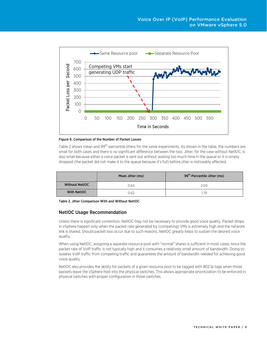

Figure 6. Comparison of the Number of Packet Losses

Table 2 shows mean and 99<sup>th</sup>-percentile jitters for the same experiments. As shown in the table, the numbers are small for both cases and there is no significant difference between the two. Jitter, for the case without NetIOC, is also small because either a voice packet is sent out without waiting too much time in the queue or it is simply dropped (the packet did not make it to the queue because it's full) before jitter is noticeably affected.

|                       | Mean Jitter (ms) | 99 <sup>th</sup> -Percentile Jitter (ms) |
|-----------------------|------------------|------------------------------------------|
| <b>Without NetIOC</b> | 0.64             | 2.00                                     |
| <b>With NetIOC</b>    | 0.62             | 1.79                                     |

Table 2. Jitter Comparison With and Without NetIOC

### <span id="page-8-0"></span>NetIOC Usage Recommendation

Unless there is significant contention, NetIOC may not be necessary to provide good voice quality. Packet drops in vSphere happen only when the packet rate generated by (competing) VMs is extremely high and the network link is shared. Should packet loss occur due to such reasons, NetIOC greatly helps to sustain the desired voice quality.

When using NetIOC, assigning a separate resource pool with "normal" shares is sufficient in most cases, since the packet rate of VoIP traffic is not typically high and it consumes a relatively small amount of bandwidth. Doing so isolates VoIP traffic from competing traffic and guarantees the amount of bandwidth needed for achieving good voice quality.

NetIOC also provides the ability for packets of a given resource pool to be tagged with 802.1p tags when those packets leave the vSphere host into the physical switches. This allows appropriate prioritization to be enforced in physical switches with proper configuration in those switches.